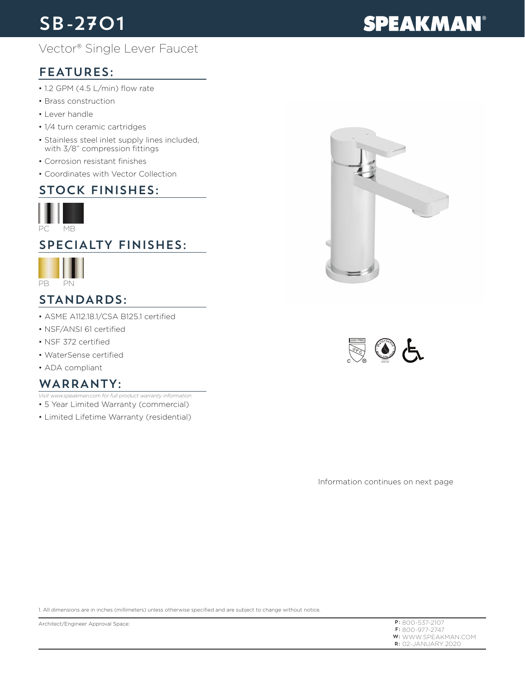# SB-2701

# Vector® Single Lever Faucet

### FEATURES:

- 1.2 GPM (4.5 L/min) flow rate
- Brass construction
- Lever handle
- 1/4 turn ceramic cartridges
- Stainless steel inlet supply lines included, with 3/8" compression fittings
- Corrosion resistant finishes
- Coordinates with Vector Collection

#### STOCK FINISHES:



#### SPECIALTY FINISHES:



#### STANDARDS:

- ASME A112.18.1/CSA B125.1 certified
- NSF/ANSI 61 certified
- NSF 372 certified
- WaterSense certified
- ADA compliant

#### WARRANTY:

- *Visit www.speakman.com for full product warranty information*
- 5 Year Limited Warranty (commercial)
- Limited Lifetime Warranty (residential)



Information continues on next page

1. All dimensions are in inches (millimeters) unless otherwise specified and are subject to change without notice.

P: 800-537-2107 F: 800-977-2747 **W:** WWW.SPEAKMAN.COM R: 02-JANUARY 2020

# **SPEAKMAN®**